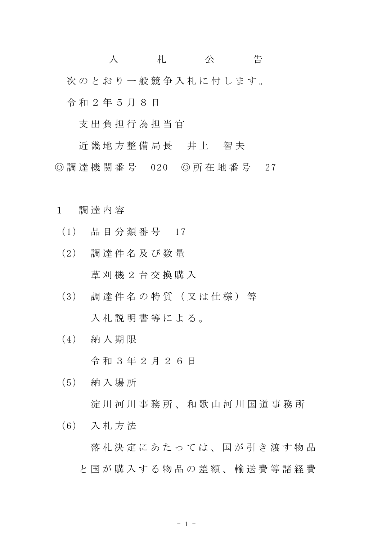入 札 公 告 次のとおり一般競争入札に付します。 令 和 2 年 5 月 8 日

支 出 負 担 行 為 担 当 官

近 畿 地 方 整 備 局 長 并 上 智 夫 ◎ 調 達 機 関 番 号 020 ◎ 所 在 地 番 号 27

- 1 調 達 内 容
	- (1) 品 目 分 類 番 号 17
	- (2) 調 達 件 名 及 び 数 量 草 刈 機 2 台 交 換 購 入
	- (3) 調 達 件 名 の 特 質 ( 又 は 仕 様 ) 等 入札説明書等による。
	- (4) 納 入 期 限 令 和 3 年 2 月 2 6 日
	- (5) 納 入 場 所 淀 川 河 川 事 務 所 、 和 歌 山 河 川 国 道 事 務 所
	- (6) 入 札 方 法

落 札 決 定 に あ た っ て は 、 国 が 引 き 渡 す 物 品 と国が購入する物品の差額、輸送費等諸経費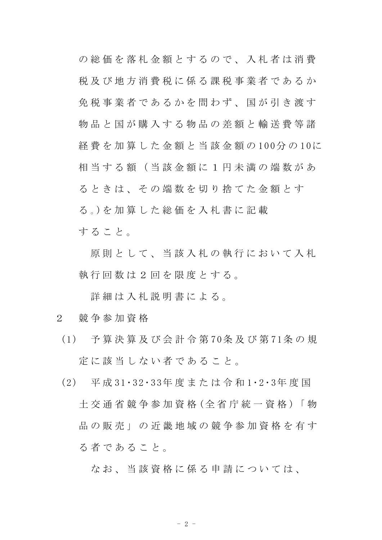の 総 価 を 落 札 金 額 と す る の で 、 入 札 者 は 消 費 税 及 び 地 方 消 費 税 に 係 る 課 税 事 業 者 で あ る か 免税事業者であるかを問わず、国が引き渡す 物品と国が購入する物品の差額と輸送費等諸 経 費 を 加 算 し た 金 額 と 当 該 金 額 の 100分 の 10に 相当する額(当該金額に1円未満の端数があ る と き は、 そ の 端 数 を 切 り 捨 て た 金 額 と す る 。)を 加 算 し た 総 価 を 入 札 書 に 記 載 す る こ と 。

原則として、当該入札の執行において入札 執行回数は2回を限度とする。

詳細は入札説明書による。

- 2 競 争 参 加 資 格
	- (1) 予 算 決 算 及 び 会 計 令 第 70条 及 び 第 71条 の 規 定 に 該 当 し な い 者 で あ る こ と 。
	- (2) 平 成 31・32 ・33年 度 ま た は 令 和 1・2・3年 度 国 土 交 通 省 競 争 参 加 資 格 (全 省 庁 統 一 資 格 )「 物 品 の 販 売 」 の 近 畿 地 域 の 競 争 参 加 資 格 を 有 す る 者 で あ る こ と 。

なお、当 該 資 格 に 係 る 申 請 に つ い て は、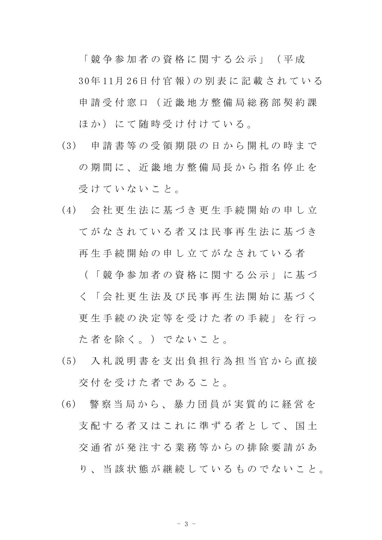「 競 争 参 加 者 の 資 格 に 関 す る 公 示 」 ( 平 成 30年 11月 2 6日 付 官 報 )の 別 表 に 記 載 さ れ て い る 申 請 受 付 窓 口 ( 近 畿 地 方 整 備 局 総 務 部 契 約 課 ほか)にて随時受け付けている。

- (3) 申 請 書 等 の 受 領 期 限 の 日 か ら 開 札 の 時 ま で の 期 間 に 、 近 畿 地 方 整 備 局 長 か ら 指 名 停 止 を 受けていないこと。
- (4) 会 社 更 生 法 に 基 づ き 更 生 手 続 開 始 の 申 し 立 てがなされている者又は民事再生法に基づき 再 生 手 続 開 始 の 申 し 立 て が な さ れ て い る 者

( 「 競 争 参 加 者 の 資 格 に 関 す る 公 示 」 に 基 づ く 「 会 社 更 生 法 及 び 民 事 再 生 法 開 始 に 基 づ く 更 生 手 続 の 決 定 等 を 受 け た 者 の 手 続 」 を 行 っ た 者 を 除 く 。 ) で な い こ と 。

- (5) 入 札 説 明 書 を 支 出 負 担 行 為 担 当 官 か ら 直 接 交 付 を 受 け た 者 で あ る こ と 。
- ( 6) 警 察 当 局 か ら 、 暴 力 団 員 が 実 質 的 に 経 営 を 支 配 す る 者 又 は こ れ に 準 ず る 者 と し て 、 国 十 交 通 省 が 発 注 す る 業 務 等 か ら の 排 除 要 請 が あ り 、 当 該 状 態 が 継 続 し て い る も の で な い こ と 。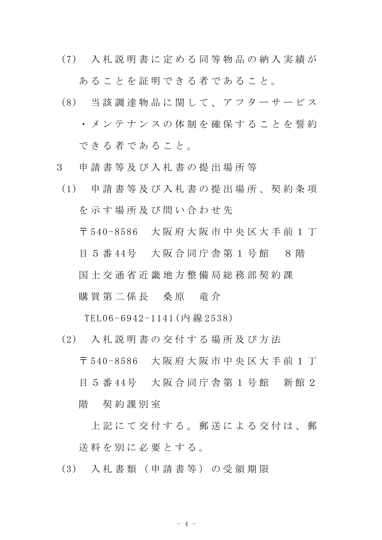(7) 入 札 説 明 書 に 定 め る 同 等 物 品 の 納 入 実 績 が

あ る こ と を 証 明 で き る 者 で あ る こ と 。

- (8) 当 該 調 達 物 品 に 関 し て 、 ア フ タ ー サ ー ビ ス ・ メ ン テ ナ ン ス の 体 制 を 確 保 す る こ と を 誓 約 で き る 者 で あ る こ と 。
- 3 申 請 書 等 及 び 入 札 書 の 提 出 場 所 等
- (1) 申 請 書 等 及 び 入 札 書 の 提 出 場 所 、 契 約 条 項 を示す場所及び問い合わせ先 〒 540-8586 大 阪 府 大 阪 市 中 央 区 大 手 前 1 丁 目 5 番 44号 大阪合同庁舎第 1 号館 8 階 国 土 交 通 省 近 畿 地 方 整 備 局 総 務 部 契 約 課

購 買 第 二 係 長 三 桑 原 三 竜 介

TEL06 -6942-1141(内 線 253 8)

(2) 入 札 説 明 書 の 交 付 す る 場 所 及 び 方 法

〒 540-8586 大 阪 府 大 阪 市 中 央 区 大 手 前 1 丁 目 5 番 44号 大阪合同庁舎第 1 号館 新館 2 階 契約課別室

上 記 に て 交 付 す る 。 郵 送 に よ る 交 付 は 、 郵 送 料 を 別 に 必 要 と す る 。

(3) 入 札 書 類 ( 申 請 書 等 ) の 受 領 期 限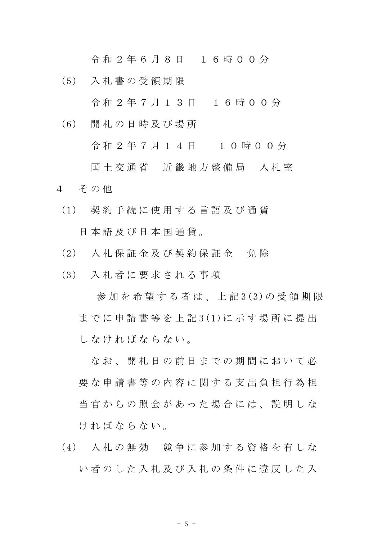令 和 2 年 6 月 8 日 1 6 時 0 0 分

(5) 入 札 書 の 受 領 期 限

令 和 2 年 7 月 1 3 日 1 6 時 0 0 分

(6) 開 札 の 日 時 及 び 場 所

令 和 2 年 7 月 1 4 日 1 0 時 0 0 分

国土交通省 近畿地方整備局 入札室 4 その他

- (1) 契 約 手 続 に 使 用 す る 言 語 及 び 通 貨 日 本 語 及 び 日 本 国 通 貨 。
- (2) 入 札 保 証 金 及 び 契 約 保 証 金 免 除
- (3) 入 札 者 に 要 求 さ れ る 事 項

参加を希望する者は、上記3(3)の受領期限 までに申請書等を上記3(1)に示す場所に提出 し な け れ ば な ら な い 。

な お 、 開 札 日 の 前 日 ま で の 期 間 に お い て 必 要な申請書等の内容に関する支出負担行為担 当 官 か ら の 照 会 が あ っ た 場 合 に は 、 説 明 し な け れ ば な ら な い 。

(4) 入 札 の 無 効 競 争 に 参 加 す る 資 格 を 有 し な い者のした入札及び入札の条件に違反した入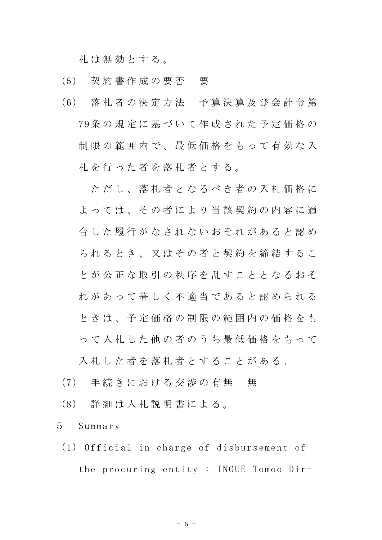札 は 無 効 と す る 。

- (5) 契 約 書 作 成 の 要 否 要
- (6) 落 札 者 の 決 定 方 法 予 算 決 算 及 び 会 計 令 第 79条 の 規 定 に 基 づ い て 作 成 さ れ た 予 定 価 格 の 制限の範囲内で、最低価格をもって有効な入 札 を 行 っ た 者 を 落 札 者 と す る 。

ただし、落札者となるべき者の入札価格に よっては、その者により当該契約の内容に適 合した履行がなされないおそれがあると認め られるとき、又はその者と契約を締結するこ と が 公 正 な 取 引 の 秩 序 を 乱 す こ と と な る お そ れ が あ っ て 著 し く 不 適 当 で あ る と 認 め ら れ る と き は 、 予 定 価 格 の 制 限 の 範 囲 内 の 価 格 を も っ て 入 札 し た 他 の 者 の う ち 最 低 価 格 を も っ て

入札した者を落札者とすることがある。

- (7) 手続きにおける交渉の有無 無
- (8) 詳 細 は 入 札 説 明 書 に よ る 。

5 Summar y

(1) Official in charge of disbursement of the procuring entity : INOUE Tomoo Dir-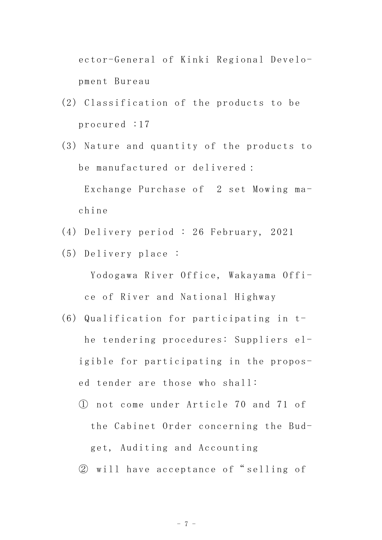ector-General of Kinki Regional Development Bureau

- (2) Classification of the products to be procured :17
- (3) Nature and quantity of the products to be manufactured or delivered: Exchange Purchase of 2 set Mowing machine
- (4) Delivery period : 26 February, 2021
- (5) Delivery place:

Yodogawa River Office, Wakayama Office of River and National Highway

- (6) Qualification for participating in the tendering procedures: Suppliers eligible for participating in the proposed tender are those who shall:
	- 1) not come under Article 70 and 71 of the Cabinet Order concerning the Budget, Auditing and Accounting
	- 2 will have acceptance of "selling of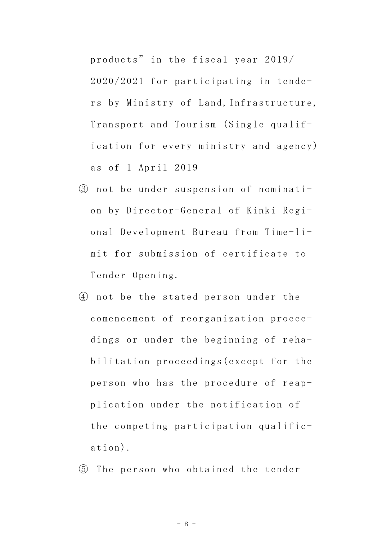products" in the fiscal year 2019/ 2020/2021 for participating in tenders by Ministry of Land, Infrastructure, Transport and Tourism (Single qualification for every ministry and agency) as of 1 April 2019

- 3 not be under suspension of nomination by Director-General of Kinki Regional Development Bureau from Time-limit for submission of certificate to Tender Opening.
- 4) not be the stated person under the comencement of reorganization proceedings or under the beginning of rehabilitation proceedings (except for the person who has the procedure of reapplication under the notification of the competing participation qualific $ation).$
- 5 The person who obtained the tender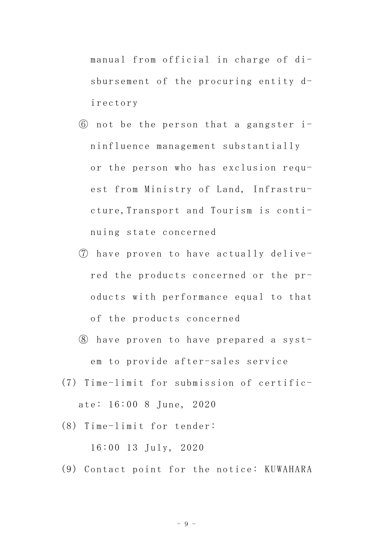manual from official in charge of disbursement of the procuring entity directory

- 6 not be the person that a gangster ininfluence management substantially or the person who has exclusion request from Ministry of Land, Infrastructure, Transport and Tourism is continuing state concerned
- (7) have proven to have actually delivered the products concerned or the products with performance equal to that of the products concerned
- 8 have proven to have prepared a system to provide after-sales service
- (7) Time-limit for submission of certificate: 16:00 8 June, 2020
- $(8)$  Time-limit for tender:

 $16:00$  13  $July, 2020$ 

(9) Contact point for the notice: KUWAHARA